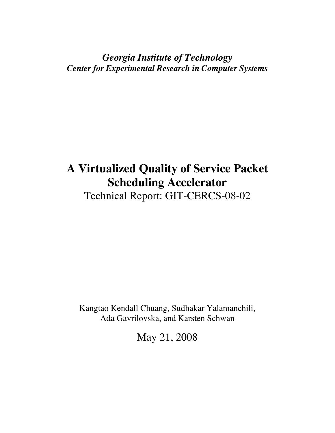*Georgia Institute of Technology Center for Experimental Research in Computer Systems*

# **A Virtualized Quality of Service Packet Scheduling Accelerator** Technical Report: GIT-CERCS-08-02

Kangtao Kendall Chuang, Sudhakar Yalamanchili, Ada Gavrilovska, and Karsten Schwan

May 21, 2008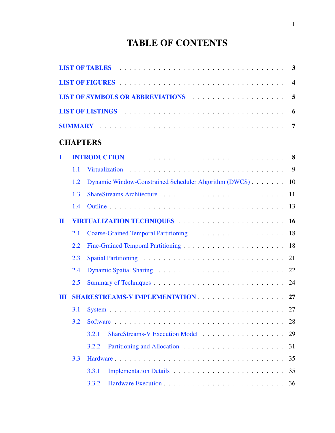# TABLE OF CONTENTS

|              |     | LIST OF TABLES (Contract of the Contract of the Contract of the Contract of the Contract of the Contract of the Contract of Table of Table of Table of Table of Table of Table of Table of Table of Table of Table of Table of |
|--------------|-----|--------------------------------------------------------------------------------------------------------------------------------------------------------------------------------------------------------------------------------|
|              |     | LIST OF FIGURES (Contract of the contract of the contract of the contract of the contract of the contract of the contract of the contract of the contract of the contract of the contract of the contract of the contract of t |
|              |     |                                                                                                                                                                                                                                |
|              |     | LIST OF LISTINGS (Contract of the contract of the contract of the contract of the contract of the contract of the contract of the contract of the contract of the contract of the contract of the contract of the contract of  |
|              |     |                                                                                                                                                                                                                                |
|              |     | <b>CHAPTERS</b>                                                                                                                                                                                                                |
| $\bf{I}$     |     |                                                                                                                                                                                                                                |
|              | 1.1 |                                                                                                                                                                                                                                |
|              | 1.2 | Dynamic Window-Constrained Scheduler Algorithm (DWCS) 10                                                                                                                                                                       |
|              | 1.3 |                                                                                                                                                                                                                                |
|              | 1.4 |                                                                                                                                                                                                                                |
| $\mathbf{H}$ |     |                                                                                                                                                                                                                                |
|              | 2.1 |                                                                                                                                                                                                                                |
|              | 2.2 |                                                                                                                                                                                                                                |
|              | 2.3 | 21                                                                                                                                                                                                                             |
|              | 2.4 |                                                                                                                                                                                                                                |
|              | 2.5 |                                                                                                                                                                                                                                |
| Ш            |     | <b>SHARESTREAMS-V IMPLEMENTATION</b> 27                                                                                                                                                                                        |
|              |     |                                                                                                                                                                                                                                |
|              | 3.2 | 28                                                                                                                                                                                                                             |
|              |     | ShareStreams-V Execution Model<br>29<br>3.2.1                                                                                                                                                                                  |
|              |     | 31<br>3.2.2                                                                                                                                                                                                                    |
|              | 3.3 | 35                                                                                                                                                                                                                             |
|              |     | 35<br>3.3.1                                                                                                                                                                                                                    |
|              |     | 36<br>3.3.2                                                                                                                                                                                                                    |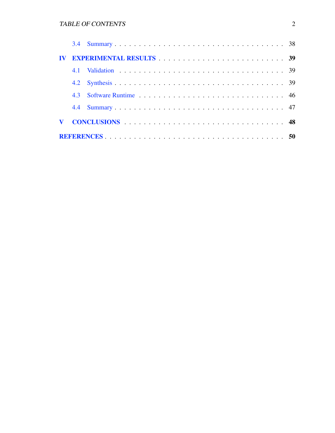#### *TABLE OF CONTENTS* 2

| 4.3 |                                     |  |
|-----|-------------------------------------|--|
|     |                                     |  |
|     | CONCLUSIONS CONCLUSIONS CONCLUSIONS |  |
|     |                                     |  |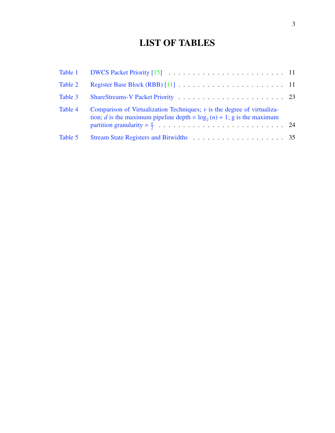## LIST OF TABLES

| Table 2 |                                                                                                                                                                 |  |
|---------|-----------------------------------------------------------------------------------------------------------------------------------------------------------------|--|
| Table 3 |                                                                                                                                                                 |  |
| Table 4 | Comparison of Virtualization Techniques; $\nu$ is the degree of virtualiza-<br>tion; <i>d</i> is the maximum pipeline depth = $log_2(n) + 1$ ; g is the maximum |  |
| Table 5 |                                                                                                                                                                 |  |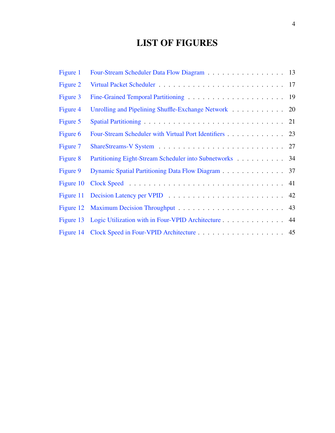## LIST OF FIGURES

| Figure 1  | Four-Stream Scheduler Data Flow Diagram 13                    |  |
|-----------|---------------------------------------------------------------|--|
| Figure 2  |                                                               |  |
| Figure 3  |                                                               |  |
| Figure 4  | Unrolling and Pipelining Shuffle-Exchange Network 20          |  |
| Figure 5  |                                                               |  |
| Figure 6  | Four-Stream Scheduler with Virtual Port Identifiers 23        |  |
| Figure 7  |                                                               |  |
| Figure 8  | Partitioning Eight-Stream Scheduler into Subnetworks 34       |  |
| Figure 9  | Dynamic Spatial Partitioning Data Flow Diagram 37             |  |
| Figure 10 |                                                               |  |
|           |                                                               |  |
|           |                                                               |  |
|           | Figure 13 Logic Utilization with in Four-VPID Architecture 44 |  |
|           | Figure 14 Clock Speed in Four-VPID Architecture 45            |  |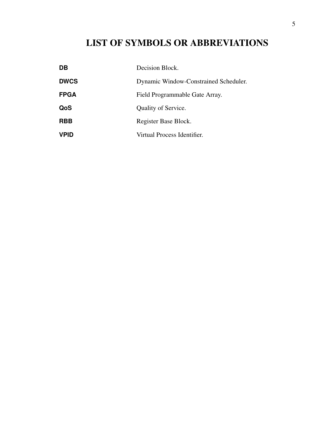## LIST OF SYMBOLS OR ABBREVIATIONS

| <b>DB</b>   | Decision Block.                       |
|-------------|---------------------------------------|
| <b>DWCS</b> | Dynamic Window-Constrained Scheduler. |
| <b>FPGA</b> | Field Programmable Gate Array.        |
| QoS         | Quality of Service.                   |
| <b>RBB</b>  | Register Base Block.                  |
| <b>VPID</b> | Virtual Process Identifier.           |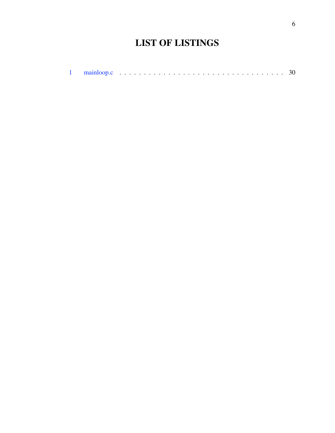# LIST OF LISTINGS

|--|--|--|--|--|--|--|--|--|--|--|--|--|--|--|--|--|--|--|--|--|--|--|--|--|--|--|--|--|--|--|--|--|--|--|--|--|--|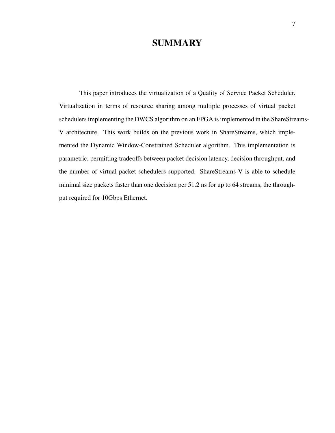### **SUMMARY**

This paper introduces the virtualization of a Quality of Service Packet Scheduler. Virtualization in terms of resource sharing among multiple processes of virtual packet schedulers implementing the DWCS algorithm on an FPGA is implemented in the ShareStreams-V architecture. This work builds on the previous work in ShareStreams, which implemented the Dynamic Window-Constrained Scheduler algorithm. This implementation is parametric, permitting tradeoffs between packet decision latency, decision throughput, and the number of virtual packet schedulers supported. ShareStreams-V is able to schedule minimal size packets faster than one decision per 51.2 ns for up to 64 streams, the throughput required for 10Gbps Ethernet.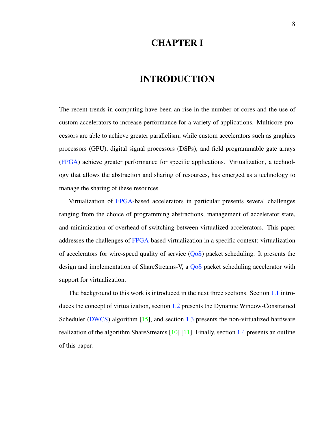#### CHAPTER I

### INTRODUCTION

The recent trends in computing have been an rise in the number of cores and the use of custom accelerators to increase performance for a variety of applications. Multicore processors are able to achieve greater parallelism, while custom accelerators such as graphics processors (GPU), digital signal processors (DSPs), and field programmable gate arrays (FPGA) achieve greater performance for specific applications. Virtualization, a technology that allows the abstraction and sharing of resources, has emerged as a technology to manage the sharing of these resources.

Virtualization of FPGA-based accelerators in particular presents several challenges ranging from the choice of programming abstractions, management of accelerator state, and minimization of overhead of switching between virtualized accelerators. This paper addresses the challenges of FPGA-based virtualization in a specific context: virtualization of accelerators for wire-speed quality of service  $(QoS)$  packet scheduling. It presents the design and implementation of ShareStreams-V, a QoS packet scheduling accelerator with support for virtualization.

The background to this work is introduced in the next three sections. Section 1.1 introduces the concept of virtualization, section 1.2 presents the Dynamic Window-Constrained Scheduler (DWCS) algorithm [15], and section 1.3 presents the non-virtualized hardware realization of the algorithm ShareStreams [10] [11]. Finally, section 1.4 presents an outline of this paper.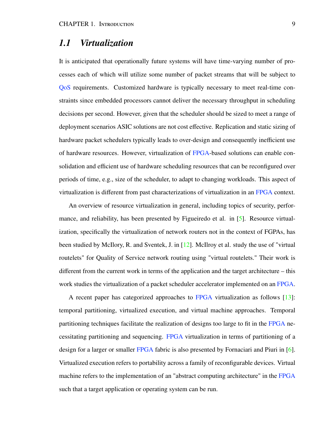#### *1.1 Virtualization*

It is anticipated that operationally future systems will have time-varying number of processes each of which will utilize some number of packet streams that will be subject to QoS requirements. Customized hardware is typically necessary to meet real-time constraints since embedded processors cannot deliver the necessary throughput in scheduling decisions per second. However, given that the scheduler should be sized to meet a range of deployment scenarios ASIC solutions are not cost effective. Replication and static sizing of hardware packet schedulers typically leads to over-design and consequently inefficient use of hardware resources. However, virtualization of FPGA-based solutions can enable consolidation and efficient use of hardware scheduling resources that can be reconfigured over periods of time, e.g., size of the scheduler, to adapt to changing workloads. This aspect of virtualization is different from past characterizations of virtualization in an FPGA context.

An overview of resource virtualization in general, including topics of security, performance, and reliability, has been presented by Figueiredo et al. in [5]. Resource virtualization, specifically the virtualization of network routers not in the context of FGPAs, has been studied by McIlory, R. and Sventek, J. in [12]. McIlroy et al. study the use of "virtual routelets" for Quality of Service network routing using "virtual routelets." Their work is different from the current work in terms of the application and the target architecture – this work studies the virtualization of a packet scheduler accelerator implemented on an FPGA.

A recent paper has categorized approaches to FPGA virtualization as follows [13]: temporal partitioning, virtualized execution, and virtual machine approaches. Temporal partitioning techniques facilitate the realization of designs too large to fit in the FPGA necessitating partitioning and sequencing. FPGA virtualization in terms of partitioning of a design for a larger or smaller FPGA fabric is also presented by Fornaciari and Piuri in [6]. Virtualized execution refers to portability across a family of reconfigurable devices. Virtual machine refers to the implementation of an "abstract computing architecture" in the FPGA such that a target application or operating system can be run.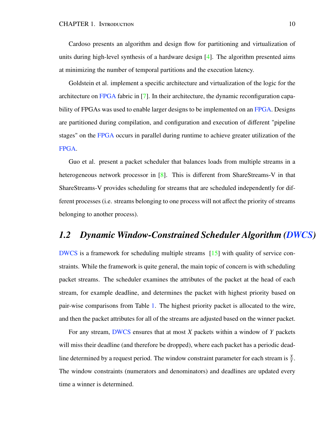Cardoso presents an algorithm and design flow for partitioning and virtualization of units during high-level synthesis of a hardware design  $[4]$ . The algorithm presented aims at minimizing the number of temporal partitions and the execution latency.

Goldstein et al. implement a specific architecture and virtualization of the logic for the architecture on FPGA fabric in [7]. In their architecture, the dynamic reconfiguration capability of FPGAs was used to enable larger designs to be implemented on an FPGA. Designs are partitioned during compilation, and configuration and execution of different "pipeline stages" on the FPGA occurs in parallel during runtime to achieve greater utilization of the FPGA.

Guo et al. present a packet scheduler that balances loads from multiple streams in a heterogeneous network processor in [8]. This is different from ShareStreams-V in that ShareStreams-V provides scheduling for streams that are scheduled independently for different processes (i.e. streams belonging to one process will not affect the priority of streams belonging to another process).

#### *1.2 Dynamic Window-Constrained Scheduler Algorithm (DWCS)*

DWCS is a framework for scheduling multiple streams [15] with quality of service constraints. While the framework is quite general, the main topic of concern is with scheduling packet streams. The scheduler examines the attributes of the packet at the head of each stream, for example deadline, and determines the packet with highest priority based on pair-wise comparisons from Table 1. The highest priority packet is allocated to the wire, and then the packet attributes for all of the streams are adjusted based on the winner packet.

For any stream, DWCS ensures that at most *X* packets within a window of *Y* packets will miss their deadline (and therefore be dropped), where each packet has a periodic deadline determined by a request period. The window constraint parameter for each stream is  $\frac{X}{Y}$ . The window constraints (numerators and denominators) and deadlines are updated every time a winner is determined.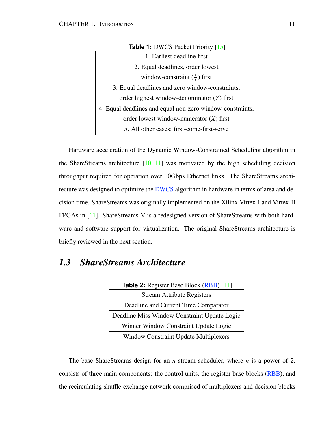| <b>Table 1:</b> DWCS Packet Priority [15]                 |
|-----------------------------------------------------------|
| 1. Earliest deadline first                                |
| 2. Equal deadlines, order lowest                          |
| window-constraint $(\frac{X}{v})$ first                   |
| 3. Equal deadlines and zero window-constraints,           |
| order highest window-denominator $(Y)$ first              |
| 4. Equal deadlines and equal non-zero window-constraints, |
| order lowest window-numerator $(X)$ first                 |
| 5. All other cases: first-come-first-serve                |

Hardware acceleration of the Dynamic Window-Constrained Scheduling algorithm in the ShareStreams architecture  $[10, 11]$  was motivated by the high scheduling decision throughput required for operation over 10Gbps Ethernet links. The ShareStreams architecture was designed to optimize the DWCS algorithm in hardware in terms of area and decision time. ShareStreams was originally implemented on the Xilinx Virtex-I and Virtex-II FPGAs in [11]. ShareStreams-V is a redesigned version of ShareStreams with both hardware and software support for virtualization. The original ShareStreams architecture is briefly reviewed in the next section.

### *1.3 ShareStreams Architecture*

| <b>Table 2:</b> Register Base Block (RBB) [11] |
|------------------------------------------------|
| <b>Stream Attribute Registers</b>              |
| Deadline and Current Time Comparator           |
| Deadline Miss Window Constraint Update Logic   |
| Winner Window Constraint Update Logic          |
| <b>Window Constraint Update Multiplexers</b>   |

The base ShareStreams design for an *n* stream scheduler, where *n* is a power of 2, consists of three main components: the control units, the register base blocks (RBB), and the recirculating shuffle-exchange network comprised of multiplexers and decision blocks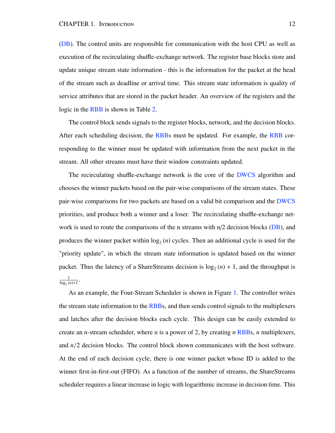(DB). The control units are responsible for communication with the host CPU as well as execution of the recirculating shuffle-exchange network. The register base blocks store and update unique stream state information - this is the information for the packet at the head of the stream such as deadline or arrival time. This stream state information is quality of service attributes that are stored in the packet header. An overview of the registers and the logic in the RBB is shown in Table 2.

The control block sends signals to the register blocks, network, and the decision blocks. After each scheduling decision, the RBBs must be updated. For example, the RBB corresponding to the winner must be updated with information from the next packet in the stream. All other streams must have their window constraints updated.

The recirculating shuffle-exchange network is the core of the DWCS algorithm and chooses the winner packets based on the pair-wise comparisons of the stream states. These pair-wise comparisons for two packets are based on a valid bit comparison and the DWCS priorities, and produce both a winner and a loser. The recirculating shuffle-exchange network is used to route the comparisons of the n streams with  $n/2$  decision blocks (DB), and produces the winner packet within  $log_2(n)$  cycles. Then an additional cycle is used for the "priority update", in which the stream state information is updated based on the winner packet. Thus the latency of a ShareStreams decision is  $log_2(n) + 1$ , and the throughput is  $\frac{1}{\log_2(n)+1}$ .

As an example, the Four-Stream Scheduler is shown in Figure 1. The controller writes the stream state information to the RBBs, and then sends control signals to the multiplexers and latches after the decision blocks each cycle. This design can be easily extended to create an *n*-stream scheduler, where *n* is a power of 2, by creating *n* RBBs, *n* multiplexers, and  $n/2$  decision blocks. The control block shown communicates with the host software. At the end of each decision cycle, there is one winner packet whose ID is added to the winner first-in-first-out (FIFO). As a function of the number of streams, the ShareStreams scheduler requires a linear increase in logic with logarithmic increase in decision time. This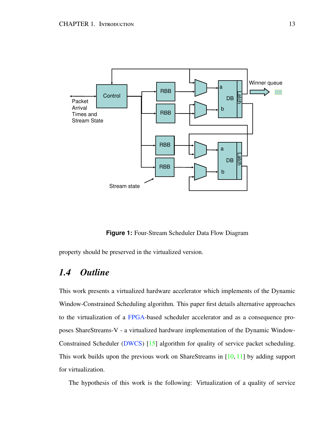

**Figure 1:** Four-Stream Scheduler Data Flow Diagram

property should be preserved in the virtualized version.

### *1.4 Outline*

This work presents a virtualized hardware accelerator which implements of the Dynamic Window-Constrained Scheduling algorithm. This paper first details alternative approaches to the virtualization of a FPGA-based scheduler accelerator and as a consequence proposes ShareStreams-V - a virtualized hardware implementation of the Dynamic Window-Constrained Scheduler (DWCS) [15] algorithm for quality of service packet scheduling. This work builds upon the previous work on ShareStreams in [10, 11] by adding support for virtualization.

The hypothesis of this work is the following: Virtualization of a quality of service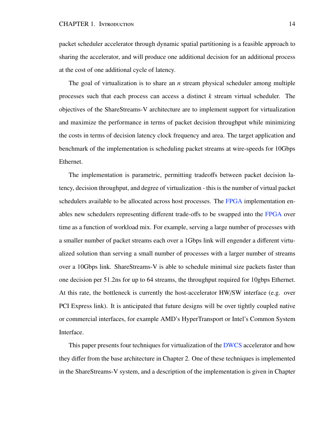#### CHAPTER 1. INTRODUCTION 14

packet scheduler accelerator through dynamic spatial partitioning is a feasible approach to sharing the accelerator, and will produce one additional decision for an additional process at the cost of one additional cycle of latency.

The goal of virtualization is to share an *n* stream physical scheduler among multiple processes such that each process can access a distinct *k* stream virtual scheduler. The objectives of the ShareStreams-V architecture are to implement support for virtualization and maximize the performance in terms of packet decision throughput while minimizing the costs in terms of decision latency clock frequency and area. The target application and benchmark of the implementation is scheduling packet streams at wire-speeds for 10Gbps Ethernet.

The implementation is parametric, permitting tradeoffs between packet decision latency, decision throughput, and degree of virtualization - this is the number of virtual packet schedulers available to be allocated across host processes. The FPGA implementation enables new schedulers representing different trade-offs to be swapped into the FPGA over time as a function of workload mix. For example, serving a large number of processes with a smaller number of packet streams each over a 1Gbps link will engender a different virtualized solution than serving a small number of processes with a larger number of streams over a 10Gbps link. ShareStreams-V is able to schedule minimal size packets faster than one decision per 51.2ns for up to 64 streams, the throughput required for 10gbps Ethernet. At this rate, the bottleneck is currently the host-accelerator HW/SW interface (e.g. over PCI Express link). It is anticipated that future designs will be over tightly coupled native or commercial interfaces, for example AMD's HyperTransport or Intel's Common System Interface.

This paper presents four techniques for virtualization of the DWCS accelerator and how they differ from the base architecture in Chapter 2. One of these techniques is implemented in the ShareStreams-V system, and a description of the implementation is given in Chapter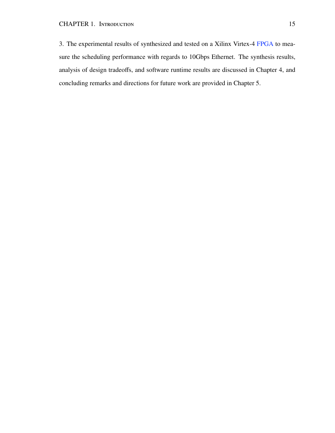#### CHAPTER 1. INTRODUCTION 15

3. The experimental results of synthesized and tested on a Xilinx Virtex-4 FPGA to measure the scheduling performance with regards to 10Gbps Ethernet. The synthesis results, analysis of design tradeoffs, and software runtime results are discussed in Chapter 4, and concluding remarks and directions for future work are provided in Chapter 5.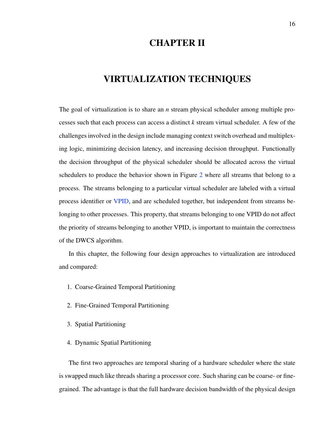### CHAPTER II

## VIRTUALIZATION TECHNIQUES

The goal of virtualization is to share an *n* stream physical scheduler among multiple processes such that each process can access a distinct *k* stream virtual scheduler. A few of the challenges involved in the design include managing context switch overhead and multiplexing logic, minimizing decision latency, and increasing decision throughput. Functionally the decision throughput of the physical scheduler should be allocated across the virtual schedulers to produce the behavior shown in Figure 2 where all streams that belong to a process. The streams belonging to a particular virtual scheduler are labeled with a virtual process identifier or VPID, and are scheduled together, but independent from streams belonging to other processes. This property, that streams belonging to one VPID do not affect the priority of streams belonging to another VPID, is important to maintain the correctness of the DWCS algorithm.

In this chapter, the following four design approaches to virtualization are introduced and compared:

- 1. Coarse-Grained Temporal Partitioning
- 2. Fine-Grained Temporal Partitioning
- 3. Spatial Partitioning
- 4. Dynamic Spatial Partitioning

The first two approaches are temporal sharing of a hardware scheduler where the state is swapped much like threads sharing a processor core. Such sharing can be coarse- or finegrained. The advantage is that the full hardware decision bandwidth of the physical design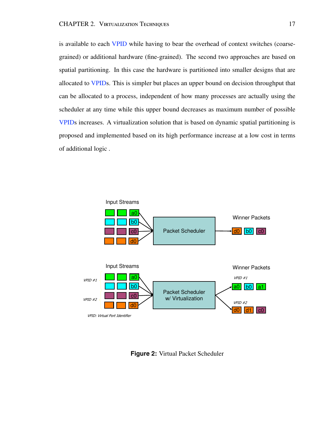is available to each VPID while having to bear the overhead of context switches (coarsegrained) or additional hardware (fine-grained). The second two approaches are based on spatial partitioning. In this case the hardware is partitioned into smaller designs that are allocated to VPIDs. This is simpler but places an upper bound on decision throughput that can be allocated to a process, independent of how many processes are actually using the scheduler at any time while this upper bound decreases as maximum number of possible VPIDs increases. A virtualization solution that is based on dynamic spatial partitioning is proposed and implemented based on its high performance increase at a low cost in terms of additional logic .



**Figure 2:** Virtual Packet Scheduler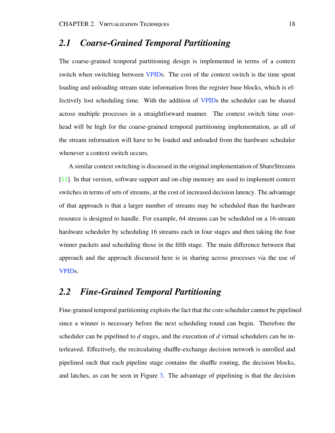### *2.1 Coarse-Grained Temporal Partitioning*

The coarse-grained temporal partitioning design is implemented in terms of a context switch when switching between VPIDs. The cost of the context switch is the time spent loading and unloading stream state information from the register base blocks, which is effectively lost scheduling time. With the addition of VPIDs the scheduler can be shared across multiple processes in a straightforward manner. The context switch time overhead will be high for the coarse-grained temporal partitioning implementation, as all of the stream information will have to be loaded and unloaded from the hardware scheduler whenever a context switch occurs.

A similar context switching is discussed in the original implementation of ShareStreams [11]. In that version, software support and on-chip memory are used to implement context switches in terms of sets of streams, at the cost of increased decision latency. The advantage of that approach is that a larger number of streams may be scheduled than the hardware resource is designed to handle. For example, 64 streams can be scheduled on a 16-stream hardware scheduler by scheduling 16 streams each in four stages and then taking the four winner packets and scheduling those in the fifth stage. The main difference between that approach and the approach discussed here is in sharing across processes via the use of VPIDs.

### *2.2 Fine-Grained Temporal Partitioning*

Fine-grained temporal partitioning exploits the fact that the core scheduler cannot be pipelined since a winner is necessary before the next scheduling round can begin. Therefore the scheduler can be pipelined to *d* stages, and the execution of *d* virtual schedulers can be interleaved. Effectively, the recirculating shuffle-exchange decision network is unrolled and pipelined such that each pipeline stage contains the shuffle routing, the decision blocks, and latches, as can be seen in Figure 3. The advantage of pipelining is that the decision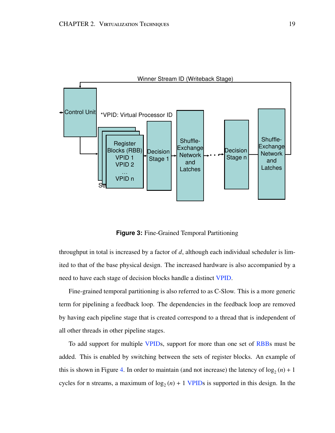

**Figure 3:** Fine-Grained Temporal Partitioning

throughput in total is increased by a factor of *d*, although each individual scheduler is limited to that of the base physical design. The increased hardware is also accompanied by a need to have each stage of decision blocks handle a distinct VPID.

Fine-grained temporal partitioning is also referred to as C-Slow. This is a more generic term for pipelining a feedback loop. The dependencies in the feedback loop are removed by having each pipeline stage that is created correspond to a thread that is independent of all other threads in other pipeline stages.

To add support for multiple VPIDs, support for more than one set of RBBs must be added. This is enabled by switching between the sets of register blocks. An example of this is shown in Figure 4. In order to maintain (and not increase) the latency of  $log_2(n) + 1$ cycles for n streams, a maximum of  $log_2(n) + 1$  VPIDs is supported in this design. In the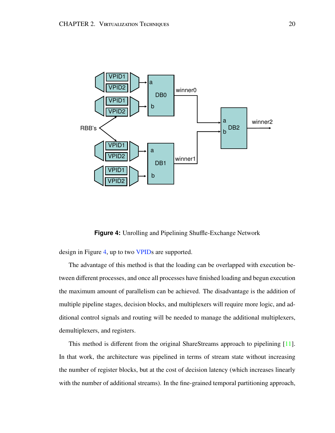

**Figure 4:** Unrolling and Pipelining Shuffle-Exchange Network

design in Figure 4, up to two VPIDs are supported.

The advantage of this method is that the loading can be overlapped with execution between different processes, and once all processes have finished loading and begun execution the maximum amount of parallelism can be achieved. The disadvantage is the addition of multiple pipeline stages, decision blocks, and multiplexers will require more logic, and additional control signals and routing will be needed to manage the additional multiplexers, demultiplexers, and registers.

This method is different from the original ShareStreams approach to pipelining [11]. In that work, the architecture was pipelined in terms of stream state without increasing the number of register blocks, but at the cost of decision latency (which increases linearly with the number of additional streams). In the fine-grained temporal partitioning approach,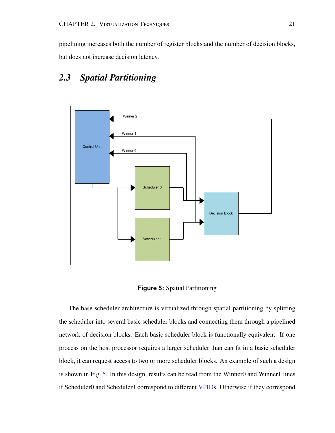pipelining increases both the number of register blocks and the number of decision blocks, but does not increase decision latency.

## *2.3 Spatial Partitioning*



**Figure 5:** Spatial Partitioning

The base scheduler architecture is virtualized through spatial partitioning by splitting the scheduler into several basic scheduler blocks and connecting them through a pipelined network of decision blocks. Each basic scheduler block is functionally equivalent. If one process on the host processor requires a larger scheduler than can fit in a basic scheduler block, it can request access to two or more scheduler blocks. An example of such a design is shown in Fig. 5. In this design, results can be read from the Winner0 and Winner1 lines if Scheduler0 and Scheduler1 correspond to different VPIDs. Otherwise if they correspond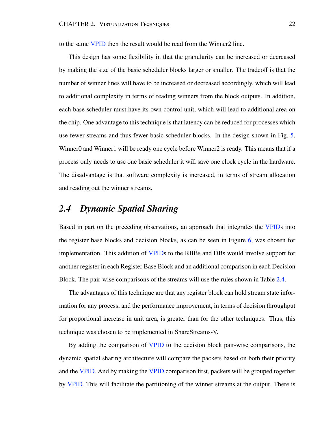to the same VPID then the result would be read from the Winner2 line.

This design has some flexibility in that the granularity can be increased or decreased by making the size of the basic scheduler blocks larger or smaller. The tradeoff is that the number of winner lines will have to be increased or decreased accordingly, which will lead to additional complexity in terms of reading winners from the block outputs. In addition, each base scheduler must have its own control unit, which will lead to additional area on the chip. One advantage to this technique is that latency can be reduced for processes which use fewer streams and thus fewer basic scheduler blocks. In the design shown in Fig. 5, Winner0 and Winner1 will be ready one cycle before Winner2 is ready. This means that if a process only needs to use one basic scheduler it will save one clock cycle in the hardware. The disadvantage is that software complexity is increased, in terms of stream allocation and reading out the winner streams.

### *2.4 Dynamic Spatial Sharing*

Based in part on the preceding observations, an approach that integrates the VPIDs into the register base blocks and decision blocks, as can be seen in Figure 6, was chosen for implementation. This addition of VPIDs to the RBBs and DBs would involve support for another register in each Register Base Block and an additional comparison in each Decision Block. The pair-wise comparisons of the streams will use the rules shown in Table 2.4.

The advantages of this technique are that any register block can hold stream state information for any process, and the performance improvement, in terms of decision throughput for proportional increase in unit area, is greater than for the other techniques. Thus, this technique was chosen to be implemented in ShareStreams-V.

By adding the comparison of VPID to the decision block pair-wise comparisons, the dynamic spatial sharing architecture will compare the packets based on both their priority and the VPID. And by making the VPID comparison first, packets will be grouped together by VPID. This will facilitate the partitioning of the winner streams at the output. There is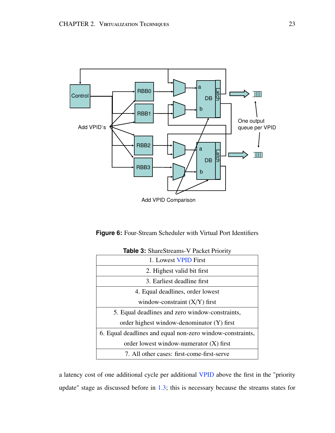

**Figure 6:** Four-Stream Scheduler with Virtual Port Identifiers

| 1. Lowest VPID First                                      |
|-----------------------------------------------------------|
| 2. Highest valid bit first                                |
| 3. Earliest deadline first                                |
| 4. Equal deadlines, order lowest                          |
| window-constraint $(X/Y)$ first                           |
| 5. Equal deadlines and zero window-constraints,           |
| order highest window-denominator (Y) first                |
| 6. Equal deadlines and equal non-zero window-constraints, |
| order lowest window-numerator $(X)$ first                 |
| 7. All other cases: first-come-first-serve                |

**Table 3:** ShareStreams-V Packet Priority

a latency cost of one additional cycle per additional VPID above the first in the "priority update" stage as discussed before in 1.3; this is necessary because the streams states for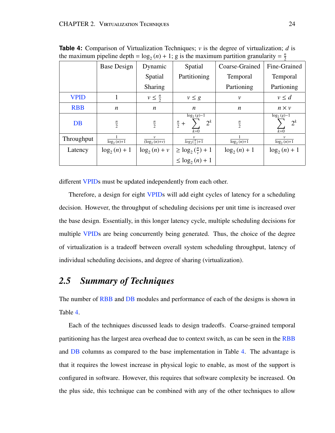|             | <b>Base Design</b> | Dynamic                    | Spatial                                                         | Coarse-Grained   | Fine-Grained                    |
|-------------|--------------------|----------------------------|-----------------------------------------------------------------|------------------|---------------------------------|
|             |                    | Spatial                    | Partitioning                                                    | Temporal         | <b>Temporal</b>                 |
|             |                    | <b>Sharing</b>             |                                                                 | Partioning       | Partioning                      |
| <b>VPID</b> |                    | $v \leq \frac{n}{2}$       | $v \leq g$                                                      | $\mathcal V$     | $v \leq d$                      |
| <b>RBB</b>  | $\boldsymbol{n}$   | $\boldsymbol{n}$           | $\boldsymbol{n}$                                                | $\boldsymbol{n}$ | $n \times v$                    |
| DB          | $\frac{n}{2}$      | $\frac{n}{2}$              | $\overline{\log_2{(g)-1}}$<br>$2^k$<br>$\frac{n}{2}$ +<br>$k=0$ | $\frac{n}{2}$    | $\log_2(g)-1$<br>$2^k$<br>$k=0$ |
| Throughput  | $log_2(n)+1$       | $\overline{(\log_2(n)+v)}$ | $log_2(\frac{n}{v})+1$                                          | $log_2(n)+1$     | $\overline{\log_2(n+1)}$        |
| Latency     | $\log_2(n) + 1$    | $\log_2(n) + v$            | $\geq$ log <sub>2</sub> ( $\frac{n}{v}$ ) + 1                   | $\log_2(n) + 1$  | $log_2(n) + 1$                  |
|             |                    |                            | $\leq$ log <sub>2</sub> (n) + 1                                 |                  |                                 |

**Table 4:** Comparison of Virtualization Techniques; *v* is the degree of virtualization; *d* is the maximum pipeline depth =  $log_2(n) + 1$ ; g is the maximum partition granularity =  $\frac{n}{2}$ 

different VPIDs must be updated independently from each other.

Therefore, a design for eight VPIDs will add eight cycles of latency for a scheduling decision. However, the throughput of scheduling decisions per unit time is increased over the base design. Essentially, in this longer latency cycle, multiple scheduling decisions for multiple VPIDs are being concurrently being generated. Thus, the choice of the degree of virtualization is a tradeoff between overall system scheduling throughput, latency of individual scheduling decisions, and degree of sharing (virtualization).

### *2.5 Summary of Techniques*

The number of RBB and DB modules and performance of each of the designs is shown in Table 4.

Each of the techniques discussed leads to design tradeoffs. Coarse-grained temporal partitioning has the largest area overhead due to context switch, as can be seen in the RBB and DB columns as compared to the base implementation in Table 4. The advantage is that it requires the lowest increase in physical logic to enable, as most of the support is configured in software. However, this requires that software complexity be increased. On the plus side, this technique can be combined with any of the other techniques to allow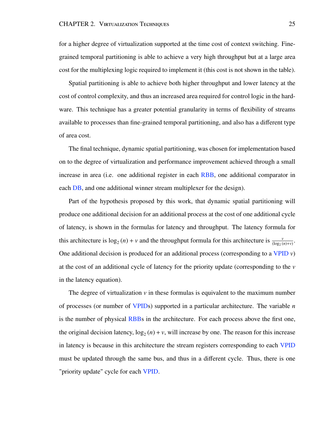for a higher degree of virtualization supported at the time cost of context switching. Finegrained temporal partitioning is able to achieve a very high throughput but at a large area cost for the multiplexing logic required to implement it (this cost is not shown in the table).

Spatial partitioning is able to achieve both higher throughput and lower latency at the cost of control complexity, and thus an increased area required for control logic in the hardware. This technique has a greater potential granularity in terms of flexibility of streams available to processes than fine-grained temporal partitioning, and also has a different type of area cost.

The final technique, dynamic spatial partitioning, was chosen for implementation based on to the degree of virtualization and performance improvement achieved through a small increase in area (i.e. one additional register in each RBB, one additional comparator in each DB, and one additional winner stream multiplexer for the design).

Part of the hypothesis proposed by this work, that dynamic spatial partitioning will produce one additional decision for an additional process at the cost of one additional cycle of latency, is shown in the formulas for latency and throughput. The latency formula for this architecture is  $log_2(n) + v$  and the throughput formula for this architecture is  $\frac{v}{(log_2(n)+v)}$ . One additional decision is produced for an additional process (corresponding to a VPID  $\nu$ ) at the cost of an additional cycle of latency for the priority update (corresponding to the *v* in the latency equation).

The degree of virtualization  $\nu$  in these formulas is equivalent to the maximum number of processes (or number of VPIDs) supported in a particular architecture. The variable *n* is the number of physical RBBs in the architecture. For each process above the first one, the original decision latency,  $log_2(n) + v$ , will increase by one. The reason for this increase in latency is because in this architecture the stream registers corresponding to each VPID must be updated through the same bus, and thus in a different cycle. Thus, there is one "priority update" cycle for each VPID.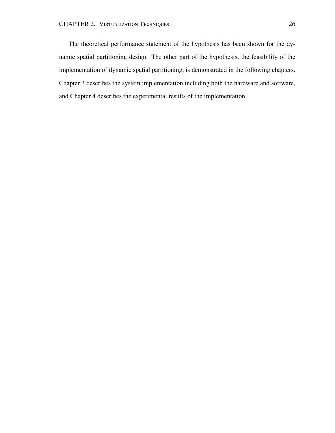The theoretical performance statement of the hypothesis has been shown for the dynamic spatial partitioning design. The other part of the hypothesis, the feasibility of the implementation of dynamic spatial partitioning, is demonstrated in the following chapters. Chapter 3 describes the system implementation including both the hardware and software, and Chapter 4 describes the experimental results of the implementation.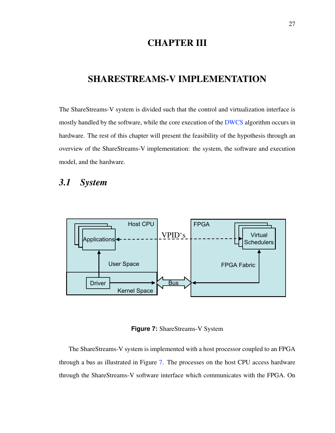### CHAPTER III

## SHARESTREAMS-V IMPLEMENTATION

The ShareStreams-V system is divided such that the control and virtualization interface is mostly handled by the software, while the core execution of the DWCS algorithm occurs in hardware. The rest of this chapter will present the feasibility of the hypothesis through an overview of the ShareStreams-V implementation: the system, the software and execution model, and the hardware.

### *3.1 System*



**Figure 7:** ShareStreams-V System

The ShareStreams-V system is implemented with a host processor coupled to an FPGA through a bus as illustrated in Figure 7. The processes on the host CPU access hardware through the ShareStreams-V software interface which communicates with the FPGA. On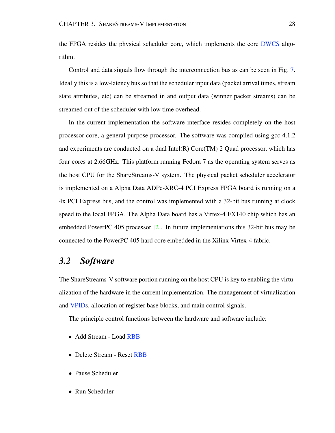the FPGA resides the physical scheduler core, which implements the core DWCS algorithm.

Control and data signals flow through the interconnection bus as can be seen in Fig. 7. Ideally this is a low-latency bus so that the scheduler input data (packet arrival times, stream state attributes, etc) can be streamed in and output data (winner packet streams) can be streamed out of the scheduler with low time overhead.

In the current implementation the software interface resides completely on the host processor core, a general purpose processor. The software was compiled using gcc 4.1.2 and experiments are conducted on a dual Intel $(R)$  Core $(TM)$  2 Quad processor, which has four cores at 2.66GHz. This platform running Fedora 7 as the operating system serves as the host CPU for the ShareStreams-V system. The physical packet scheduler accelerator is implemented on a Alpha Data ADPe-XRC-4 PCI Express FPGA board is running on a 4x PCI Express bus, and the control was implemented with a 32-bit bus running at clock speed to the local FPGA. The Alpha Data board has a Virtex-4 FX140 chip which has an embedded PowerPC 405 processor [2]. In future implementations this 32-bit bus may be connected to the PowerPC 405 hard core embedded in the Xilinx Virtex-4 fabric.

#### *3.2 Software*

The ShareStreams-V software portion running on the host CPU is key to enabling the virtualization of the hardware in the current implementation. The management of virtualization and VPIDs, allocation of register base blocks, and main control signals.

The principle control functions between the hardware and software include:

- Add Stream Load RBB
- Delete Stream Reset RBB
- Pause Scheduler
- Run Scheduler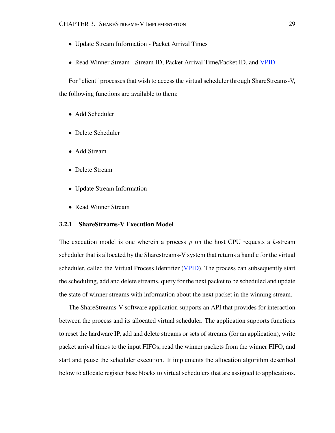- Update Stream Information Packet Arrival Times
- Read Winner Stream Stream ID, Packet Arrival Time/Packet ID, and VPID

For "client" processes that wish to access the virtual scheduler through ShareStreams-V, the following functions are available to them:

- Add Scheduler
- Delete Scheduler
- Add Stream
- Delete Stream
- Update Stream Information
- Read Winner Stream

#### 3.2.1 ShareStreams-V Execution Model

The execution model is one wherein a process *p* on the host CPU requests a *k*-stream scheduler that is allocated by the Sharestreams-V system that returns a handle for the virtual scheduler, called the Virtual Process Identifier (VPID). The process can subsequently start the scheduling, add and delete streams, query for the next packet to be scheduled and update the state of winner streams with information about the next packet in the winning stream.

The ShareStreams-V software application supports an API that provides for interaction between the process and its allocated virtual scheduler. The application supports functions to reset the hardware IP, add and delete streams or sets of streams (for an application), write packet arrival times to the input FIFOs, read the winner packets from the winner FIFO, and start and pause the scheduler execution. It implements the allocation algorithm described below to allocate register base blocks to virtual schedulers that are assigned to applications.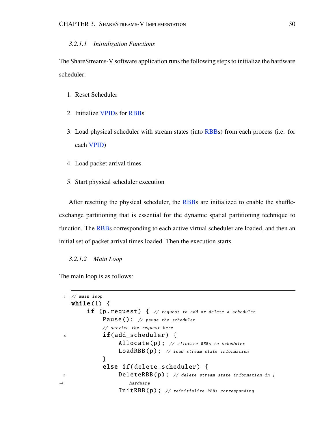#### *3.2.1.1 Initialization Functions*

The ShareStreams-V software application runs the following steps to initialize the hardware scheduler:

- 1. Reset Scheduler
- 2. Initialize VPIDs for RBBs
- 3. Load physical scheduler with stream states (into RBBs) from each process (i.e. for each VPID)
- 4. Load packet arrival times
- 5. Start physical scheduler execution

After resetting the physical scheduler, the RBBs are initialized to enable the shuffleexchange partitioning that is essential for the dynamic spatial partitioning technique to function. The RBBs corresponding to each active virtual scheduler are loaded, and then an initial set of packet arrival times loaded. Then the execution starts.

#### *3.2.1.2 Main Loop*

The main loop is as follows:

```
1 // main loop
  while(1) \{if (p.request) { // request to add or delete a scheduler
            Pause(); // pause the scheduler
            // service the request here
\delta if(add_scheduler) {
                  Allocate(p); // allocate RBBs to scheduler
                  LoadRBB(p); // load stream state information
             }
             else if(delete_scheduler) {
11 DeleteRBB(p); // delete stream state information in \downarrow→ hardware
                  InitRBB(p); // reinitialize RBBs corresponding
```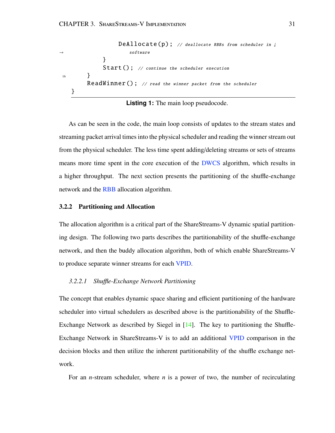```
DeAllocate(p); // deallocate RBBs from scheduler in ↓
                       → software
             }
             Start(); // continue the scheduler execution
16 }
        ReadWinner(); // read the winner packet from the scheduler
   }
```
#### **Listing 1:** The main loop pseudocode.

As can be seen in the code, the main loop consists of updates to the stream states and streaming packet arrival times into the physical scheduler and reading the winner stream out from the physical scheduler. The less time spent adding/deleting streams or sets of streams means more time spent in the core execution of the DWCS algorithm, which results in a higher throughput. The next section presents the partitioning of the shuffle-exchange network and the RBB allocation algorithm.

#### 3.2.2 Partitioning and Allocation

The allocation algorithm is a critical part of the ShareStreams-V dynamic spatial partitioning design. The following two parts describes the partitionability of the shuffle-exchange network, and then the buddy allocation algorithm, both of which enable ShareStreams-V to produce separate winner streams for each VPID.

#### *3.2.2.1 Shu*ffl*e-Exchange Network Partitioning*

The concept that enables dynamic space sharing and efficient partitioning of the hardware scheduler into virtual schedulers as described above is the partitionability of the Shuffle-Exchange Network as described by Siegel in  $[14]$ . The key to partitioning the Shuffle-Exchange Network in ShareStreams-V is to add an additional VPID comparison in the decision blocks and then utilize the inherent partitionability of the shuffle exchange network.

For an *n*-stream scheduler, where *n* is a power of two, the number of recirculating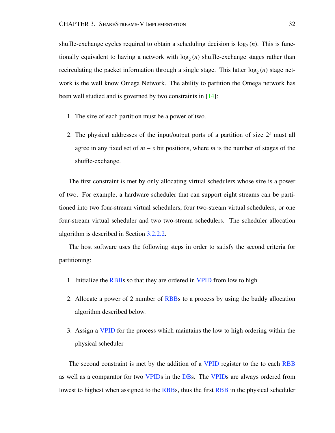shuffle-exchange cycles required to obtain a scheduling decision is  $log<sub>2</sub>(n)$ . This is functionally equivalent to having a network with  $\log_2(n)$  shuffle-exchange stages rather than recirculating the packet information through a single stage. This latter  $log_2(n)$  stage network is the well know Omega Network. The ability to partition the Omega network has been well studied and is governed by two constraints in [14]:

- 1. The size of each partition must be a power of two.
- 2. The physical addresses of the input/output ports of a partition of size 2*<sup>s</sup>* must all agree in any fixed set of *m* − *s* bit positions, where *m* is the number of stages of the shuffle-exchange.

The first constraint is met by only allocating virtual schedulers whose size is a power of two. For example, a hardware scheduler that can support eight streams can be partitioned into two four-stream virtual schedulers, four two-stream virtual schedulers, or one four-stream virtual scheduler and two two-stream schedulers. The scheduler allocation algorithm is described in Section 3.2.2.2.

The host software uses the following steps in order to satisfy the second criteria for partitioning:

- 1. Initialize the RBBs so that they are ordered in VPID from low to high
- 2. Allocate a power of 2 number of RBBs to a process by using the buddy allocation algorithm described below.
- 3. Assign a VPID for the process which maintains the low to high ordering within the physical scheduler

The second constraint is met by the addition of a VPID register to the to each RBB as well as a comparator for two VPIDs in the DBs. The VPIDs are always ordered from lowest to highest when assigned to the RBBs, thus the first RBB in the physical scheduler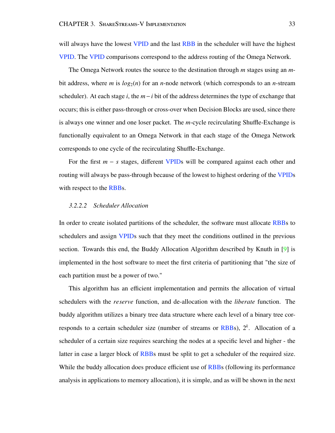will always have the lowest VPID and the last RBB in the scheduler will have the highest VPID. The VPID comparisons correspond to the address routing of the Omega Network.

The Omega Network routes the source to the destination through *m* stages using an *m*bit address, where *m* is  $log_2(n)$  for an *n*-node network (which corresponds to an *n*-stream scheduler). At each stage *i*, the *m*−*i* bit of the address determines the type of exchange that occurs; this is either pass-through or cross-over when Decision Blocks are used, since there is always one winner and one loser packet. The *m*-cycle recirculating Shuffle-Exchange is functionally equivalent to an Omega Network in that each stage of the Omega Network corresponds to one cycle of the recirculating Shuffle-Exchange.

For the first *m* − *s* stages, different VPIDs will be compared against each other and routing will always be pass-through because of the lowest to highest ordering of the VPIDs with respect to the RBBs.

#### *3.2.2.2 Scheduler Allocation*

In order to create isolated partitions of the scheduler, the software must allocate RBBs to schedulers and assign VPIDs such that they meet the conditions outlined in the previous section. Towards this end, the Buddy Allocation Algorithm described by Knuth in [9] is implemented in the host software to meet the first criteria of partitioning that "the size of each partition must be a power of two."

This algorithm has an efficient implementation and permits the allocation of virtual schedulers with the *reserve* function, and de-allocation with the *liberate* function. The buddy algorithm utilizes a binary tree data structure where each level of a binary tree corresponds to a certain scheduler size (number of streams or RBBs), 2*<sup>k</sup>* . Allocation of a scheduler of a certain size requires searching the nodes at a specific level and higher - the latter in case a larger block of RBBs must be split to get a scheduler of the required size. While the buddy allocation does produce efficient use of RBBs (following its performance analysis in applications to memory allocation), it is simple, and as will be shown in the next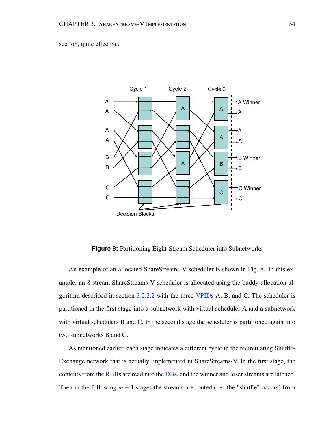section, quite effective.



**Figure 8:** Partitioning Eight-Stream Scheduler into Subnetworks

An example of an allocated ShareStreams-V scheduler is shown in Fig. 8. In this example, an 8-stream ShareStreams-V scheduler is allocated using the buddy allocation algorithm described in section 3.2.2.2 with the three VPIDs A, B, and C. The scheduler is partitioned in the first stage into a subnetwork with virtual scheduler A and a subnetwork with virtual schedulers B and C. In the second stage the scheduler is partitioned again into two subnetworks B and C.

As mentioned earlier, each stage indicates a different cycle in the recirculating Shuffle-Exchange network that is actually implemented in ShareStreams-V. In the first stage, the contents from the RBBs are read into the DBs, and the winner and loser streams are latched. Then in the following  $m - 1$  stages the streams are routed (i.e. the "shuffle" occurs) from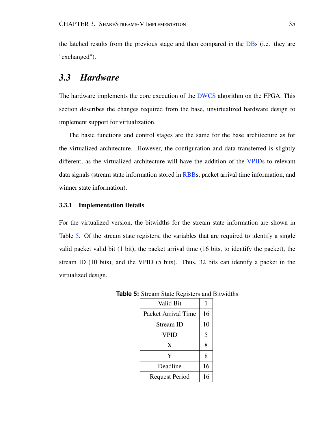the latched results from the previous stage and then compared in the DBs (i.e. they are "exchanged").

### *3.3 Hardware*

The hardware implements the core execution of the DWCS algorithm on the FPGA. This section describes the changes required from the base, unvirtualized hardware design to implement support for virtualization.

The basic functions and control stages are the same for the base architecture as for the virtualized architecture. However, the configuration and data transferred is slightly different, as the virtualized architecture will have the addition of the VPIDs to relevant data signals (stream state information stored in RBBs, packet arrival time information, and winner state information).

#### 3.3.1 Implementation Details

For the virtualized version, the bitwidths for the stream state information are shown in Table 5. Of the stream state registers, the variables that are required to identify a single valid packet valid bit (1 bit), the packet arrival time (16 bits, to identify the packet), the stream ID (10 bits), and the VPID (5 bits). Thus, 32 bits can identify a packet in the virtualized design.

| Valid Bit             |    |
|-----------------------|----|
| Packet Arrival Time   | 16 |
| Stream ID             | 10 |
| VPID                  | 5  |
| X                     | 8  |
| Y                     | 8  |
| Deadline              | 16 |
| <b>Request Period</b> | 16 |

**Table 5:** Stream State Registers and Bitwidths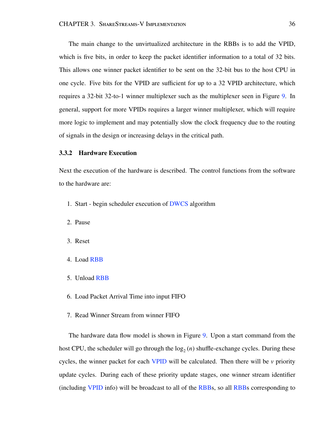The main change to the unvirtualized architecture in the RBBs is to add the VPID, which is five bits, in order to keep the packet identifier information to a total of 32 bits. This allows one winner packet identifier to be sent on the 32-bit bus to the host CPU in one cycle. Five bits for the VPID are sufficient for up to a 32 VPID architecture, which requires a 32-bit 32-to-1 winner multiplexer such as the multiplexer seen in Figure 9. In general, support for more VPIDs requires a larger winner multiplexer, which will require more logic to implement and may potentially slow the clock frequency due to the routing of signals in the design or increasing delays in the critical path.

#### 3.3.2 Hardware Execution

Next the execution of the hardware is described. The control functions from the software to the hardware are:

- 1. Start begin scheduler execution of DWCS algorithm
- 2. Pause
- 3. Reset
- 4. Load RBB
- 5. Unload RBB
- 6. Load Packet Arrival Time into input FIFO
- 7. Read Winner Stream from winner FIFO

The hardware data flow model is shown in Figure 9. Upon a start command from the host CPU, the scheduler will go through the  $log<sub>2</sub>(n)$  shuffle-exchange cycles. During these cycles, the winner packet for each VPID will be calculated. Then there will be *v* priority update cycles. During each of these priority update stages, one winner stream identifier (including VPID info) will be broadcast to all of the RBBs, so all RBBs corresponding to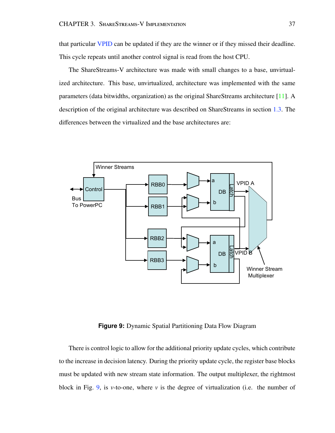that particular VPID can be updated if they are the winner or if they missed their deadline. This cycle repeats until another control signal is read from the host CPU.

The ShareStreams-V architecture was made with small changes to a base, unvirtualized architecture. This base, unvirtualized, architecture was implemented with the same parameters (data bitwidths, organization) as the original ShareStreams architecture [11]. A description of the original architecture was described on ShareStreams in section 1.3. The differences between the virtualized and the base architectures are:



**Figure 9:** Dynamic Spatial Partitioning Data Flow Diagram

There is control logic to allow for the additional priority update cycles, which contribute to the increase in decision latency. During the priority update cycle, the register base blocks must be updated with new stream state information. The output multiplexer, the rightmost block in Fig. 9, is *v*-to-one, where *v* is the degree of virtualization (i.e. the number of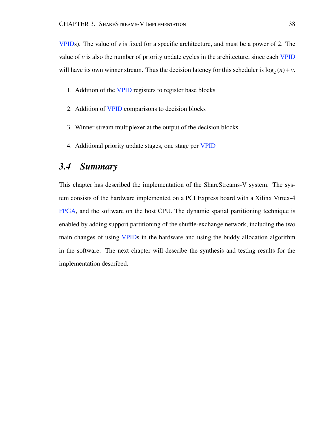VPIDs). The value of *v* is fixed for a specific architecture, and must be a power of 2. The value of  $\nu$  is also the number of priority update cycles in the architecture, since each VPID will have its own winner stream. Thus the decision latency for this scheduler is  $log_2(n) + v$ .

- 1. Addition of the VPID registers to register base blocks
- 2. Addition of VPID comparisons to decision blocks
- 3. Winner stream multiplexer at the output of the decision blocks
- 4. Additional priority update stages, one stage per VPID

### *3.4 Summary*

This chapter has described the implementation of the ShareStreams-V system. The system consists of the hardware implemented on a PCI Express board with a Xilinx Virtex-4 FPGA, and the software on the host CPU. The dynamic spatial partitioning technique is enabled by adding support partitioning of the shuffle-exchange network, including the two main changes of using VPIDs in the hardware and using the buddy allocation algorithm in the software. The next chapter will describe the synthesis and testing results for the implementation described.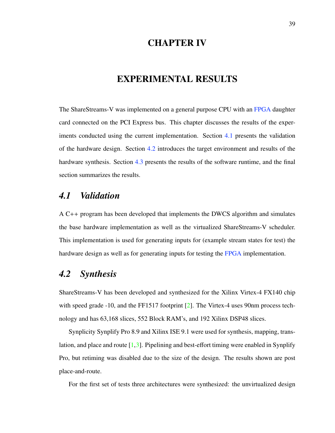#### CHAPTER IV

#### EXPERIMENTAL RESULTS

The ShareStreams-V was implemented on a general purpose CPU with an FPGA daughter card connected on the PCI Express bus. This chapter discusses the results of the experiments conducted using the current implementation. Section 4.1 presents the validation of the hardware design. Section 4.2 introduces the target environment and results of the hardware synthesis. Section 4.3 presents the results of the software runtime, and the final section summarizes the results.

#### *4.1 Validation*

A C++ program has been developed that implements the DWCS algorithm and simulates the base hardware implementation as well as the virtualized ShareStreams-V scheduler. This implementation is used for generating inputs for (example stream states for test) the hardware design as well as for generating inputs for testing the FPGA implementation.

#### *4.2 Synthesis*

ShareStreams-V has been developed and synthesized for the Xilinx Virtex-4 FX140 chip with speed grade -10, and the FF1517 footprint [2]. The Virtex-4 uses 90nm process technology and has 63,168 slices, 552 Block RAM's, and 192 Xilinx DSP48 slices.

Synplicity Synplify Pro 8.9 and Xilinx ISE 9.1 were used for synthesis, mapping, translation, and place and route  $[1,3]$ . Pipelining and best-effort timing were enabled in Synplify Pro, but retiming was disabled due to the size of the design. The results shown are post place-and-route.

For the first set of tests three architectures were synthesized: the unvirtualized design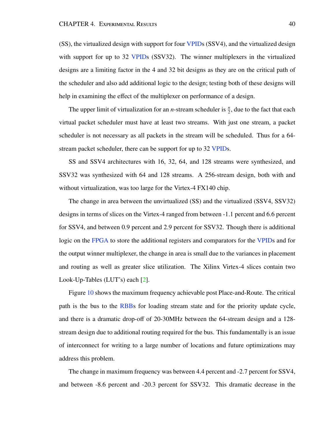(SS), the virtualized design with support for four VPIDs (SSV4), and the virtualized design with support for up to 32 VPIDs (SSV32). The winner multiplexers in the virtualized designs are a limiting factor in the 4 and 32 bit designs as they are on the critical path of the scheduler and also add additional logic to the design; testing both of these designs will help in examining the effect of the multiplexer on performance of a design.

The upper limit of virtualization for an *n*-stream scheduler is  $\frac{n}{2}$ , due to the fact that each virtual packet scheduler must have at least two streams. With just one stream, a packet scheduler is not necessary as all packets in the stream will be scheduled. Thus for a 64 stream packet scheduler, there can be support for up to 32 VPIDs.

SS and SSV4 architectures with 16, 32, 64, and 128 streams were synthesized, and SSV32 was synthesized with 64 and 128 streams. A 256-stream design, both with and without virtualization, was too large for the Virtex-4 FX140 chip.

The change in area between the unvirtualized (SS) and the virtualized (SSV4, SSV32) designs in terms of slices on the Virtex-4 ranged from between -1.1 percent and 6.6 percent for SSV4, and between 0.9 percent and 2.9 percent for SSV32. Though there is additional logic on the FPGA to store the additional registers and comparators for the VPIDs and for the output winner multiplexer, the change in area is small due to the variances in placement and routing as well as greater slice utilization. The Xilinx Virtex-4 slices contain two Look-Up-Tables (LUT's) each [2].

Figure 10 shows the maximum frequency achievable post Place-and-Route. The critical path is the bus to the RBBs for loading stream state and for the priority update cycle, and there is a dramatic drop-off of 20-30MHz between the 64-stream design and a 128 stream design due to additional routing required for the bus. This fundamentally is an issue of interconnect for writing to a large number of locations and future optimizations may address this problem.

The change in maximum frequency was between 4.4 percent and -2.7 percent for SSV4, and between -8.6 percent and -20.3 percent for SSV32. This dramatic decrease in the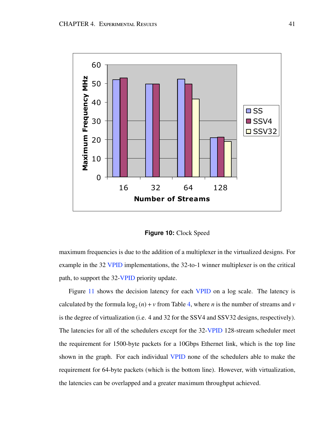

**Figure 10:** Clock Speed

maximum frequencies is due to the addition of a multiplexer in the virtualized designs. For example in the 32 VPID implementations, the 32-to-1 winner multiplexer is on the critical path, to support the 32-VPID priority update.

Figure 11 shows the decision latency for each VPID on a log scale. The latency is calculated by the formula  $\log_2(n) + v$  from Table 4, where *n* is the number of streams and *v* is the degree of virtualization (i.e. 4 and 32 for the SSV4 and SSV32 designs, respectively). The latencies for all of the schedulers except for the 32-VPID 128-stream scheduler meet the requirement for 1500-byte packets for a 10Gbps Ethernet link, which is the top line shown in the graph. For each individual VPID none of the schedulers able to make the requirement for 64-byte packets (which is the bottom line). However, with virtualization, the latencies can be overlapped and a greater maximum throughput achieved.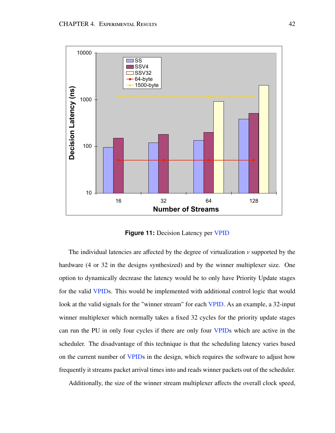

**Figure 11:** Decision Latency per VPID

The individual latencies are affected by the degree of virtualization *v* supported by the hardware (4 or 32 in the designs synthesized) and by the winner multiplexer size. One option to dynamically decrease the latency would be to only have Priority Update stages for the valid VPIDs. This would be implemented with additional control logic that would look at the valid signals for the "winner stream" for each VPID. As an example, a 32-input winner multiplexer which normally takes a fixed 32 cycles for the priority update stages can run the PU in only four cycles if there are only four VPIDs which are active in the scheduler. The disadvantage of this technique is that the scheduling latency varies based on the current number of VPIDs in the design, which requires the software to adjust how frequently it streams packet arrival times into and reads winner packets out of the scheduler.

Additionally, the size of the winner stream multiplexer affects the overall clock speed,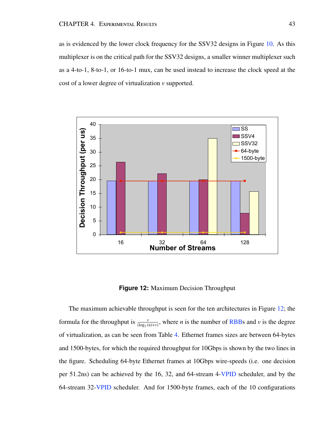as is evidenced by the lower clock frequency for the SSV32 designs in Figure 10. As this multiplexer is on the critical path for the SSV32 designs, a smaller winner multiplexer such as a 4-to-1, 8-to-1, or 16-to-1 mux, can be used instead to increase the clock speed at the cost of a lower degree of virtualization *v* supported.



**Figure 12:** Maximum Decision Throughput

The maximum achievable throughput is seen for the ten architectures in Figure 12; the formula for the throughput is  $\frac{v}{(\log_2(n)+v)}$ , where *n* is the number of RBBs and *v* is the degree of virtualization, as can be seen from Table 4. Ethernet frames sizes are between 64-bytes and 1500-bytes, for which the required throughput for 10Gbps is shown by the two lines in the figure. Scheduling 64-byte Ethernet frames at 10Gbps wire-speeds (i.e. one decision per 51.2ns) can be achieved by the 16, 32, and 64-stream 4-VPID scheduler, and by the 64-stream 32-VPID scheduler. And for 1500-byte frames, each of the 10 configurations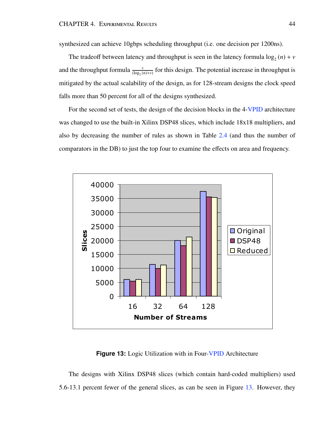synthesized can achieve 10gbps scheduling throughput (i.e. one decision per 1200ns).

The tradeoff between latency and throughput is seen in the latency formula  $\log_2(n) + v$ and the throughput formula  $\frac{v}{(\log_2(n)+v)}$  for this design. The potential increase in throughput is mitigated by the actual scalability of the design, as for 128-stream designs the clock speed falls more than 50 percent for all of the designs synthesized.

For the second set of tests, the design of the decision blocks in the 4-VPID architecture was changed to use the built-in Xilinx DSP48 slices, which include 18x18 multipliers, and also by decreasing the number of rules as shown in Table 2.4 (and thus the number of comparators in the DB) to just the top four to examine the effects on area and frequency.



**Figure 13:** Logic Utilization with in Four-VPID Architecture

The designs with Xilinx DSP48 slices (which contain hard-coded multipliers) used 5.6-13.1 percent fewer of the general slices, as can be seen in Figure 13. However, they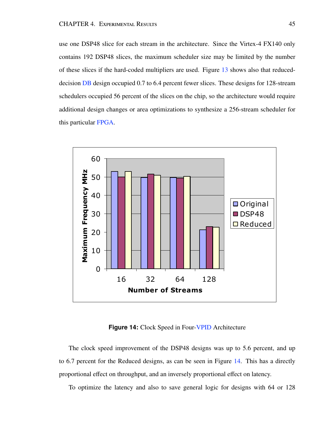use one DSP48 slice for each stream in the architecture. Since the Virtex-4 FX140 only contains 192 DSP48 slices, the maximum scheduler size may be limited by the number of these slices if the hard-coded multipliers are used. Figure 13 shows also that reduceddecision DB design occupied 0.7 to 6.4 percent fewer slices. These designs for 128-stream schedulers occupied 56 percent of the slices on the chip, so the architecture would require additional design changes or area optimizations to synthesize a 256-stream scheduler for this particular FPGA.



**Figure 14:** Clock Speed in Four-VPID Architecture

The clock speed improvement of the DSP48 designs was up to 5.6 percent, and up to 6.7 percent for the Reduced designs, as can be seen in Figure 14. This has a directly proportional effect on throughput, and an inversely proportional effect on latency.

To optimize the latency and also to save general logic for designs with 64 or 128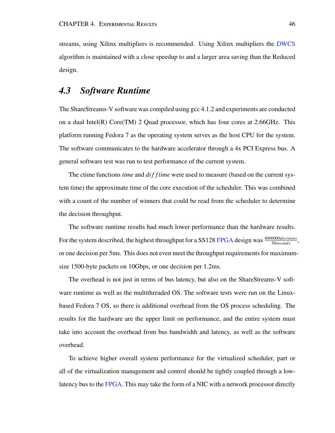streams, using Xilinx multipliers is recommended. Using Xilinx multipliers the DWCS algorithm is maintained with a close speedup to and a larger area saving than the Reduced design.

#### *4.3 Software Runtime*

The ShareStreams-V software was compiled using gcc 4.1.2 and experiments are conducted on a dual Intel(R) Core(TM) 2 Quad processor, which has four cores at 2.66GHz. This platform running Fedora 7 as the operating system serves as the host CPU for the system. The software communicates to the hardware accelerator through a 4x PCI Express bus. A general software test was run to test performance of the current system.

The ctime functions *time* and *di f f time* were used to measure (based on the current system time) the approximate time of the core execution of the scheduler. This was combined with a count of the number of winners that could be read from the scheduler to determine the decision throughput.

The software runtime results had much lower performance than the hardware results. For the system described, the highest throughput for a SS128 FPGA design was <sup>6000000</sup>*decisions* <sup>30</sup>*seconds* , or one decision per 5ms. This does not even meet the throughput requirementsfor maximumsize 1500-byte packets on 10Gbps, or one decision per 1.2ms.

The overhead is not just in terms of bus latency, but also on the ShareStreams-V software runtime as well as the multithreaded OS. The software tests were run on the Linuxbased Fedora 7 OS, so there is additional overhead from the OS process scheduling. The results for the hardware are the upper limit on performance, and the entire system must take into account the overhead from bus bandwidth and latency, as well as the software overhead.

To achieve higher overall system performance for the virtualized scheduler, part or all of the virtualization management and control should be tightly coupled through a lowlatency bus to the FPGA. This may take the form of a NIC with a network processor directly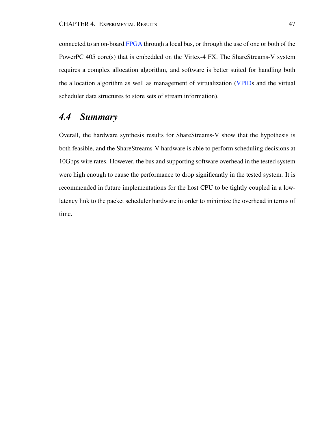connected to an on-board FPGA through a local bus, or through the use of one or both of the PowerPC 405 core(s) that is embedded on the Virtex-4 FX. The ShareStreams-V system requires a complex allocation algorithm, and software is better suited for handling both the allocation algorithm as well as management of virtualization (VPIDs and the virtual scheduler data structures to store sets of stream information).

#### *4.4 Summary*

Overall, the hardware synthesis results for ShareStreams-V show that the hypothesis is both feasible, and the ShareStreams-V hardware is able to perform scheduling decisions at 10Gbps wire rates. However, the bus and supporting software overhead in the tested system were high enough to cause the performance to drop significantly in the tested system. It is recommended in future implementations for the host CPU to be tightly coupled in a lowlatency link to the packet scheduler hardware in order to minimize the overhead in terms of time.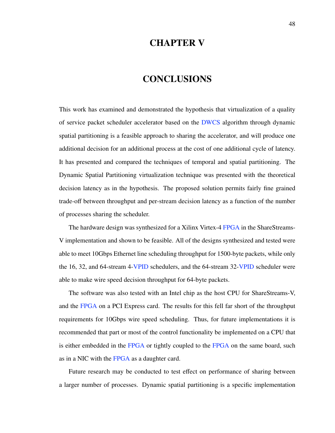#### CHAPTER V

### **CONCLUSIONS**

This work has examined and demonstrated the hypothesis that virtualization of a quality of service packet scheduler accelerator based on the DWCS algorithm through dynamic spatial partitioning is a feasible approach to sharing the accelerator, and will produce one additional decision for an additional process at the cost of one additional cycle of latency. It has presented and compared the techniques of temporal and spatial partitioning. The Dynamic Spatial Partitioning virtualization technique was presented with the theoretical decision latency as in the hypothesis. The proposed solution permits fairly fine grained trade-off between throughput and per-stream decision latency as a function of the number of processes sharing the scheduler.

The hardware design was synthesized for a Xilinx Virtex-4 FPGA in the ShareStreams-V implementation and shown to be feasible. All of the designs synthesized and tested were able to meet 10Gbps Ethernet line scheduling throughput for 1500-byte packets, while only the 16, 32, and 64-stream 4-VPID schedulers, and the 64-stream 32-VPID scheduler were able to make wire speed decision throughput for 64-byte packets.

The software was also tested with an Intel chip as the host CPU for ShareStreams-V, and the FPGA on a PCI Express card. The results for this fell far short of the throughput requirements for 10Gbps wire speed scheduling. Thus, for future implementations it is recommended that part or most of the control functionality be implemented on a CPU that is either embedded in the FPGA or tightly coupled to the FPGA on the same board, such as in a NIC with the FPGA as a daughter card.

Future research may be conducted to test effect on performance of sharing between a larger number of processes. Dynamic spatial partitioning is a specific implementation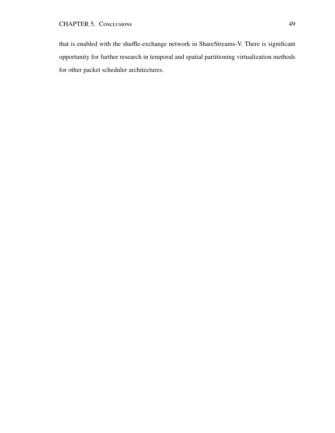that is enabled with the shuffle-exchange network in ShareStreams-V. There is significant opportunity for further research in temporal and spatial partitioning virtualization methods for other packet scheduler architectures.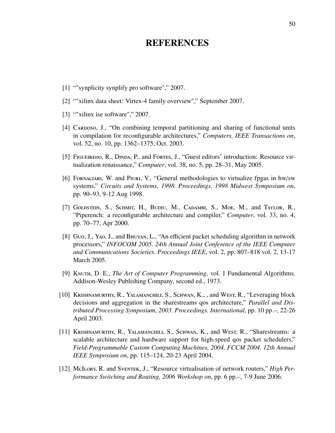### REFERENCES

- [1] ""synplicity synplify pro software"," 2007.
- [2] ""xilinx data sheet: Virtex-4 family overview"," September 2007.
- [3] ""xilinx ise software"," 2007.
- [4] CARDOSO, J., "On combining temporal partitioning and sharing of functional units in compilation for reconfigurable architectures," *Computers, IEEE Transactions on*, vol. 52, no. 10, pp. 1362–1375, Oct. 2003.
- [5] FIGUEIREDO, R., DINDA, P., and FORTES, J., "Guest editors' introduction: Resource virtualization renaissance," *Computer*, vol. 38, no. 5, pp. 28–31, May 2005.
- [6] FORNACIARI, W. and PIURI, V., "General methodologies to virtualize fpgas in hw/sw systems," *Circuits and Systems, 1998. Proceedings. 1998 Midwest Symposium on*, pp. 90–93, 9-12 Aug 1998.
- [7] GOLDSTEIN, S., SCHMIT, H., BUDIU, M., CADAMBI, S., MOE, M., and TAYLOR, R., "Piperench: a reconfigurable architecture and compiler," *Computer*, vol. 33, no. 4, pp. 70–77, Apr 2000.
- [8] Guo, J., YAO, J., and BHUYAN, L., "An efficient packet scheduling algorithm in network processors," *INFOCOM 2005. 24th Annual Joint Conference of the IEEE Computer and Communications Societies. Proceedings IEEE*, vol. 2, pp. 807–818 vol. 2, 13-17 March 2005.
- [9] K, D. E., *The Art of Computer Programming*, vol. 1 Fundamental Algorithms. Addison-Wesley Publishing Company, second ed., 1973.
- [10] KRISHNAMURTHY, R., YALAMANCHILI, S., SCHWAN, K., , and WEST, R., "Leveraging block decisions and aggregation in the sharestreams qos architecture," *Parallel and Distributed Processing Symposium, 2003. Proceedings. International*, pp. 10 pp.–, 22-26 April 2003.
- [11] KRISHNAMURTHY, R., YALAMANCHILI, S., SCHWAN, K., and WEST, R., "Sharestreams: a scalable architecture and hardware support for high-speed qos packet schedulers," *Field-Programmable Custom Computing Machines, 2004. FCCM 2004. 12th Annual IEEE Symposium on*, pp. 115–124, 20-23 April 2004.
- [12] McLory, R. and Sventek, J., "Resource virtualisation of network routers," *High Performance Switching and Routing, 2006 Workshop on*, pp. 6 pp.–, 7-9 June 2006.